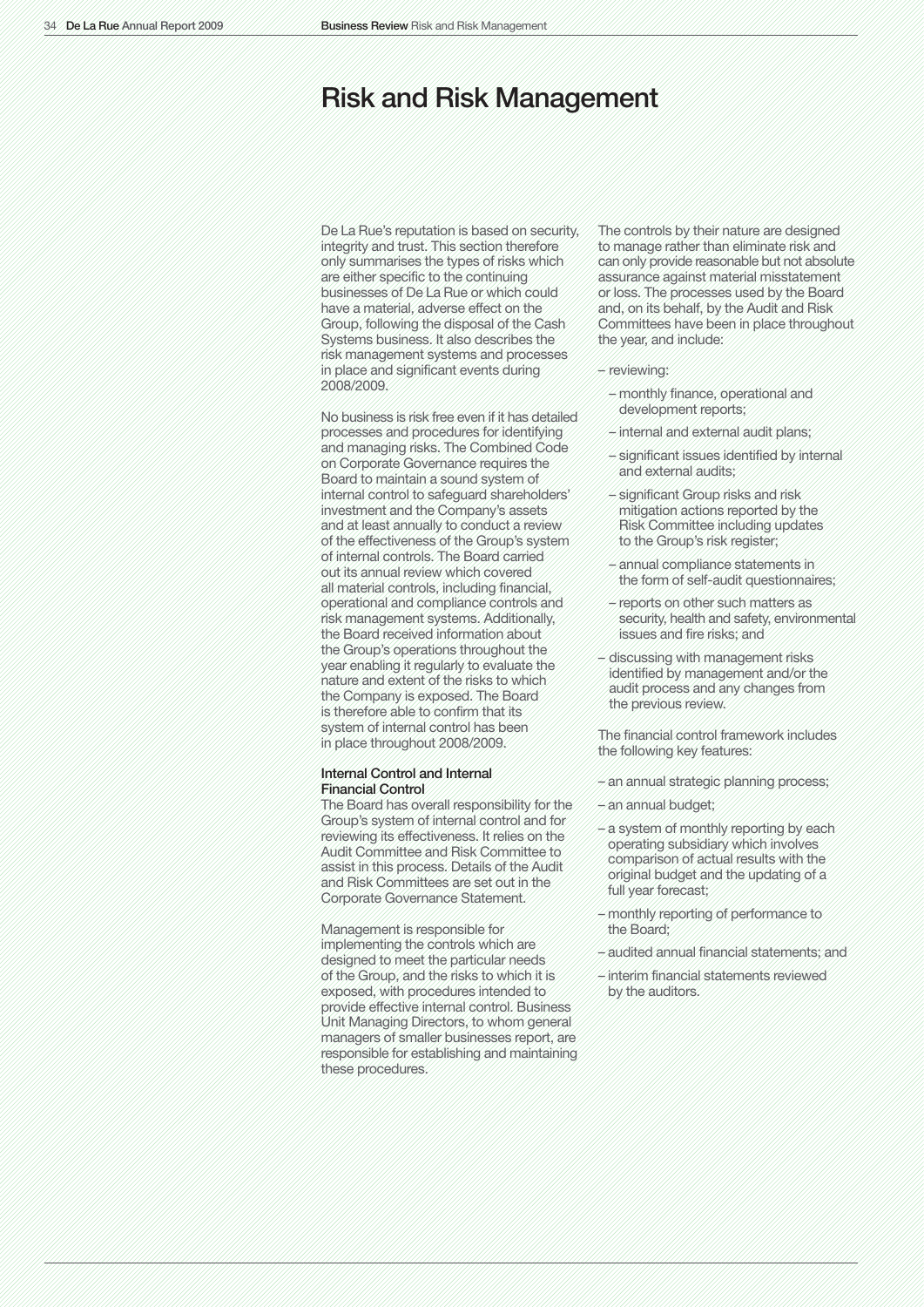# Risk and Risk Management

De La Rue's reputation is based on security, integrity and trust. This section therefore only summarises the types of risks which are either specific to the continuing businesses of De La Rue or which could have a material, adverse effect on the Group, following the disposal of the Cash Systems business. It also describes the risk management systems and processes in place and significant events during 2008/2009.

No business is risk free even if it has detailed processes and procedures for identifying and managing risks. The Combined Code on Corporate Governance requires the Board to maintain a sound system of internal control to safeguard shareholders' investment and the Company's assets and at least annually to conduct a review of the effectiveness of the Group's system of internal controls. The Board carried out its annual review which covered all material controls, including financial, operational and compliance controls and risk management systems. Additionally, the Board received information about the Group's operations throughout the year enabling it regularly to evaluate the nature and extent of the risks to which the Company is exposed. The Board is therefore able to confirm that its system of internal control has been in place throughout 2008/2009.

## Internal Control and Internal Financial Control

The Board has overall responsibility for the Group's system of internal control and for reviewing its effectiveness. It relies on the Audit Committee and Risk Committee to assist in this process. Details of the Audit and Risk Committees are set out in the Corporate Governance Statement.

Management is responsible for implementing the controls which are designed to meet the particular needs of the Group, and the risks to which it is exposed, with procedures intended to provide effective internal control. Business Unit Managing Directors, to whom general managers of smaller businesses report, are responsible for establishing and maintaining these procedures.

The controls by their nature are designed to manage rather than eliminate risk and can only provide reasonable but not absolute assurance against material misstatement or loss. The processes used by the Board and, on its behalf, by the Audit and Risk Committees have been in place throughout the year, and include:

#### – reviewing:

- monthly finance, operational and development reports;
- internal and external audit plans;
- significant issues identified by internal and external audits;
- significant Group risks and risk mitigation actions reported by the Risk Committee including updates to the Group's risk register;
- annual compliance statements in the form of self-audit questionnaires;
- reports on other such matters as security, health and safety, environmental issues and fire risks; and
- discussing with management risks identified by management and/or the audit process and any changes from the previous review.

The financial control framework includes the following key features:

- an annual strategic planning process;
- an annual budget;
- a system of monthly reporting by each operating subsidiary which involves comparison of actual results with the original budget and the updating of a full year forecast;
- monthly reporting of performance to the Board;
- audited annual financial statements; and
- interim financial statements reviewed by the auditors.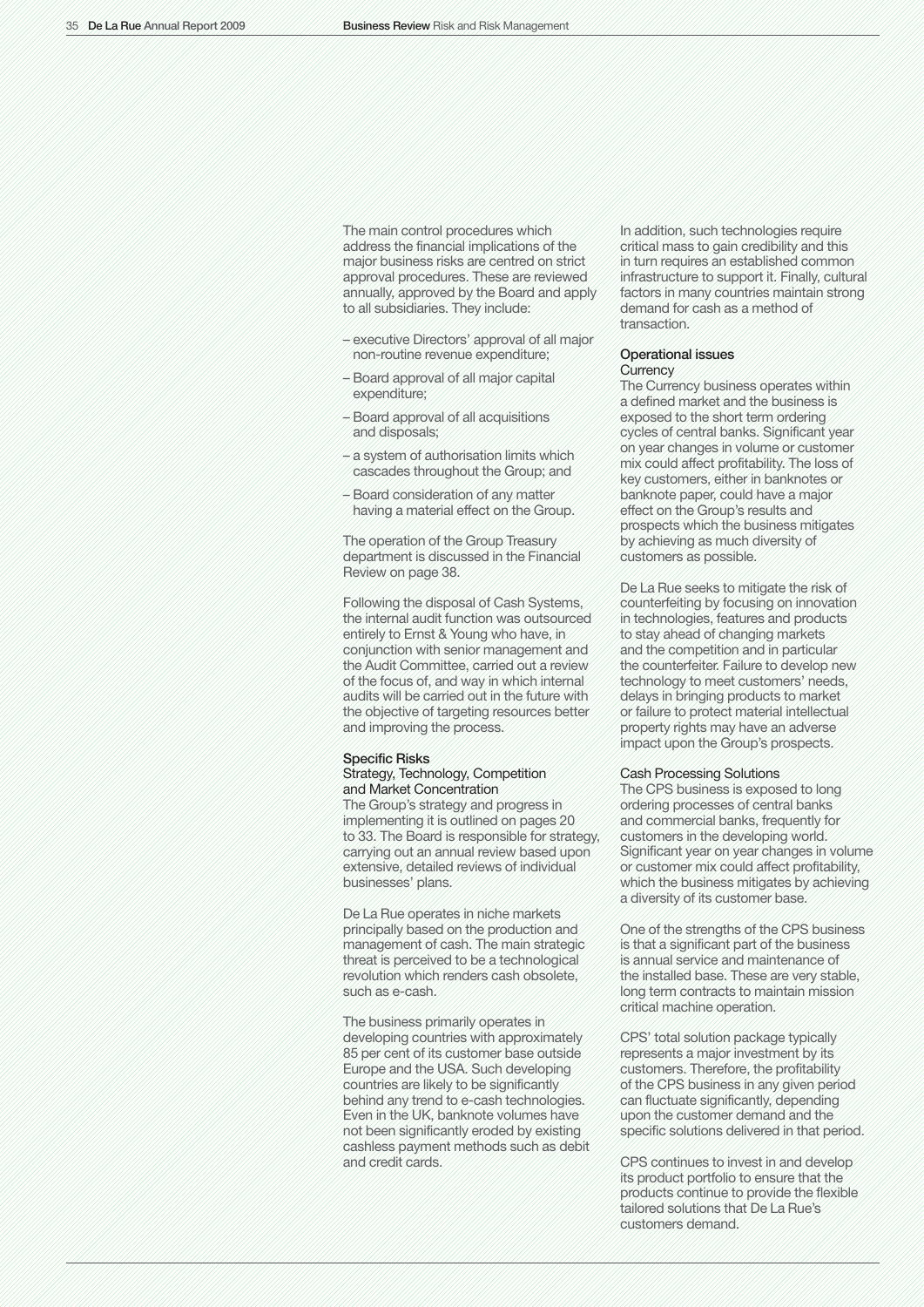The main control procedures which address the financial implications of the major business risks are centred on strict approval procedures. These are reviewed annually, approved by the Board and apply to all subsidiaries. They include:

- executive Directors' approval of all major non-routine revenue expenditure;
- Board approval of all major capital expenditure;
- Board approval of all acquisitions and disposals;
- a system of authorisation limits which cascades throughout the Group; and
- Board consideration of any matter having a material effect on the Group.

The operation of the Group Treasury department is discussed in the Financial Review on page 38.

Following the disposal of Cash Systems, the internal audit function was outsourced entirely to Ernst & Young who have, in conjunction with senior management and the Audit Committee, carried out a review of the focus of, and way in which internal audits will be carried out in the future with the objective of targeting resources better and improving the process.

## Specific Risks

#### Strategy, Technology, Competition and Market Concentration

The Group's strategy and progress in implementing it is outlined on pages 20 to 33. The Board is responsible for strategy, carrying out an annual review based upon extensive, detailed reviews of individual businesses' plans.

De La Rue operates in niche markets principally based on the production and management of cash. The main strategic threat is perceived to be a technological revolution which renders cash obsolete, such as e-cash.

The business primarily operates in developing countries with approximately 85 per cent of its customer base outside Europe and the USA. Such developing countries are likely to be significantly behind any trend to e-cash technologies. Even in the UK, banknote volumes have not been significantly eroded by existing cashless payment methods such as debit and credit cards.

In addition, such technologies require critical mass to gain credibility and this in turn requires an established common infrastructure to support it. Finally, cultural factors in many countries maintain strong demand for cash as a method of transaction.

#### Operational issues **Currency**

The Currency business operates within a defined market and the business is exposed to the short term ordering cycles of central banks. Significant year on year changes in volume or customer mix could affect profitability. The loss of key customers, either in banknotes or banknote paper, could have a major effect on the Group's results and prospects which the business mitigates by achieving as much diversity of customers as possible.

De La Rue seeks to mitigate the risk of counterfeiting by focusing on innovation in technologies, features and products to stay ahead of changing markets and the competition and in particular the counterfeiter. Failure to develop new technology to meet customers' needs, delays in bringing products to market or failure to protect material intellectual property rights may have an adverse impact upon the Group's prospects.

#### Cash Processing Solutions

The CPS business is exposed to long ordering processes of central banks and commercial banks, frequently for customers in the developing world. Significant year on year changes in volume or customer mix could affect profitability, which the business mitigates by achieving a diversity of its customer base.

One of the strengths of the CPS business is that a significant part of the business is annual service and maintenance of the installed base. These are very stable, long term contracts to maintain mission critical machine operation.

CPS' total solution package typically represents a major investment by its customers. Therefore, the profitability of the CPS business in any given period can fluctuate significantly, depending upon the customer demand and the specific solutions delivered in that period.

CPS continues to invest in and develop its product portfolio to ensure that the products continue to provide the flexible tailored solutions that De La Rue's customers demand.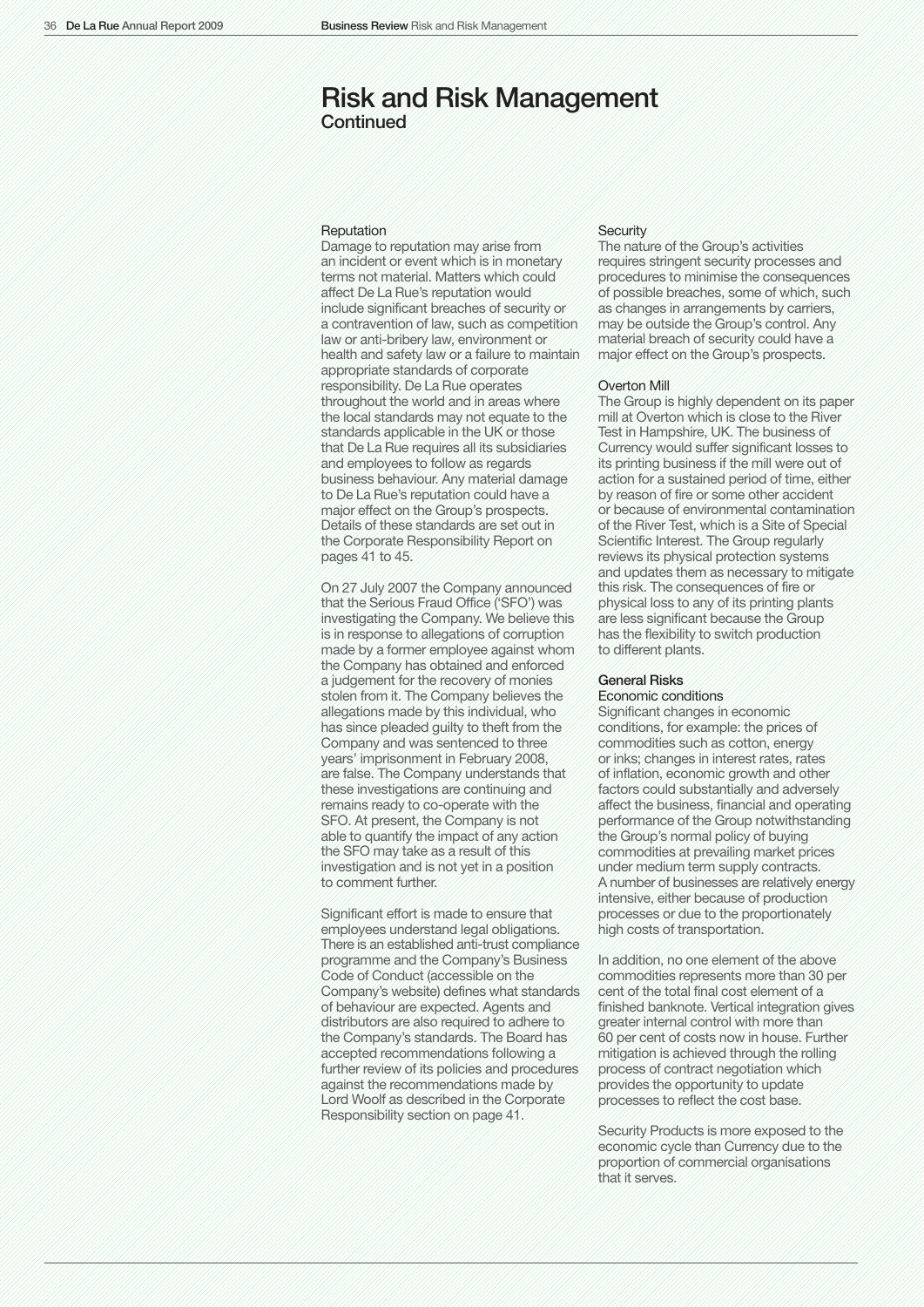## Risk and Risk Management **Continued**

## **Reputation**

Damage to reputation may arise from an incident or event which is in monetary terms not material. Matters which could affect De La Rue's reputation would include significant breaches of security or a contravention of law, such as competition law or anti-bribery law, environment or health and safety law or a failure to maintain appropriate standards of corporate responsibility. De La Rue operates throughout the world and in areas where the local standards may not equate to the standards applicable in the UK or those that De La Rue requires all its subsidiaries and employees to follow as regards business behaviour. Any material damage to De La Rue's reputation could have a major effect on the Group's prospects. Details of these standards are set out in the Corporate Responsibility Report on pages 41 to 45.

On 27 July 2007 the Company announced that the Serious Fraud Office ('SFO') was investigating the Company. We believe this is in response to allegations of corruption made by a former employee against whom the Company has obtained and enforced a judgement for the recovery of monies stolen from it. The Company believes the allegations made by this individual, who has since pleaded guilty to theft from the Company and was sentenced to three years' imprisonment in February 2008, are false. The Company understands that these investigations are continuing and remains ready to co-operate with the SFO. At present, the Company is not able to quantify the impact of any action the SFO may take as a result of this investigation and is not yet in a position to comment further.

Significant effort is made to ensure that employees understand legal obligations. There is an established anti-trust compliance programme and the Company's Business Code of Conduct (accessible on the Company's website) defines what standards of behaviour are expected. Agents and distributors are also required to adhere to the Company's standards. The Board has accepted recommendations following a further review of its policies and procedures against the recommendations made by Lord Woolf as described in the Corporate Responsibility section on page 41.

## **Security**

The nature of the Group's activities requires stringent security processes and procedures to minimise the consequences of possible breaches, some of which, such as changes in arrangements by carriers, may be outside the Group's control. Any material breach of security could have a major effect on the Group's prospects.

#### Overton Mill

The Group is highly dependent on its paper mill at Overton which is close to the River Test in Hampshire, UK. The business of Currency would suffer significant losses to its printing business if the mill were out of action for a sustained period of time, either by reason of fire or some other accident or because of environmental contamination of the River Test, which is a Site of Special Scientific Interest. The Group regularly reviews its physical protection systems and updates them as necessary to mitigate this risk. The consequences of fire or physical loss to any of its printing plants are less significant because the Group has the flexibility to switch production to different plants.

## General Risks

#### Economic conditions

Significant changes in economic conditions, for example: the prices of commodities such as cotton, energy or inks; changes in interest rates, rates of inflation, economic growth and other factors could substantially and adversely affect the business, financial and operating performance of the Group notwithstanding the Group's normal policy of buying commodities at prevailing market prices under medium term supply contracts. A number of businesses are relatively energy intensive, either because of production processes or due to the proportionately high costs of transportation.

In addition, no one element of the above commodities represents more than 30 per cent of the total final cost element of a finished banknote. Vertical integration gives greater internal control with more than 60 per cent of costs now in house. Further mitigation is achieved through the rolling process of contract negotiation which provides the opportunity to update processes to reflect the cost base.

Security Products is more exposed to the economic cycle than Currency due to the proportion of commercial organisations that it serves.